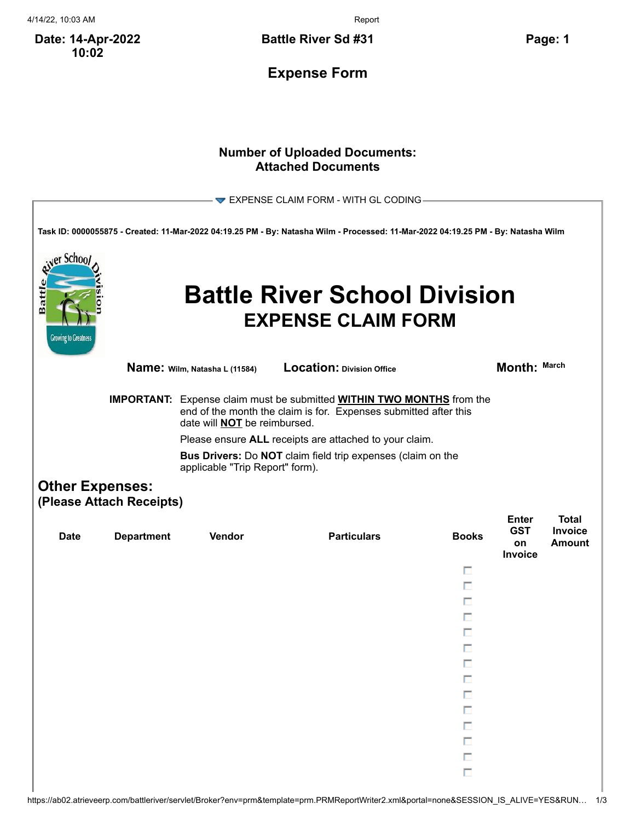4/14/22, 10:03 AM Report

**Date: 14-Apr-2022 10:02**

**Battle River Sd #31 Page: 1**

**Expense Form**

## **Number of Uploaded Documents: Attached Documents**

|                                                    |                                                                                                                                                                                                |                                                                                                                                     | $\blacktriangledown$ EXPENSE CLAIM FORM - WITH GL CODING                                                                          |              |                                             |                                          |  |  |  |
|----------------------------------------------------|------------------------------------------------------------------------------------------------------------------------------------------------------------------------------------------------|-------------------------------------------------------------------------------------------------------------------------------------|-----------------------------------------------------------------------------------------------------------------------------------|--------------|---------------------------------------------|------------------------------------------|--|--|--|
|                                                    |                                                                                                                                                                                                |                                                                                                                                     | Task ID: 0000055875 - Created: 11-Mar-2022 04:19.25 PM - By: Natasha Wilm - Processed: 11-Mar-2022 04:19.25 PM - By: Natasha Wilm |              |                                             |                                          |  |  |  |
| er Schoo<br>Battl<br><b>Growing to Greatness</b>   |                                                                                                                                                                                                |                                                                                                                                     | <b>Battle River School Division</b><br><b>EXPENSE CLAIM FORM</b>                                                                  |              |                                             |                                          |  |  |  |
|                                                    |                                                                                                                                                                                                | <b>Name:</b> Wilm, Natasha L (11584)                                                                                                | <b>Location: Division Office</b>                                                                                                  |              | Month: March                                |                                          |  |  |  |
|                                                    | <b>IMPORTANT:</b> Expense claim must be submitted <b>WITHIN TWO MONTHS</b> from the<br>end of the month the claim is for. Expenses submitted after this<br>date will <b>NOT</b> be reimbursed. |                                                                                                                                     |                                                                                                                                   |              |                                             |                                          |  |  |  |
|                                                    |                                                                                                                                                                                                | Please ensure ALL receipts are attached to your claim.<br><b>Bus Drivers:</b> Do <b>NOT</b> claim field trip expenses (claim on the |                                                                                                                                   |              |                                             |                                          |  |  |  |
|                                                    | applicable "Trip Report" form).                                                                                                                                                                |                                                                                                                                     |                                                                                                                                   |              |                                             |                                          |  |  |  |
| <b>Other Expenses:</b><br>(Please Attach Receipts) |                                                                                                                                                                                                |                                                                                                                                     |                                                                                                                                   |              |                                             |                                          |  |  |  |
| <b>Date</b>                                        | <b>Department</b>                                                                                                                                                                              | Vendor                                                                                                                              | <b>Particulars</b>                                                                                                                | <b>Books</b> | <b>Enter</b><br><b>GST</b><br>on<br>Invoice | <b>Total</b><br>Invoice<br><b>Amount</b> |  |  |  |
|                                                    |                                                                                                                                                                                                |                                                                                                                                     |                                                                                                                                   | п            |                                             |                                          |  |  |  |
|                                                    |                                                                                                                                                                                                |                                                                                                                                     |                                                                                                                                   | п<br>п       |                                             |                                          |  |  |  |
|                                                    |                                                                                                                                                                                                |                                                                                                                                     |                                                                                                                                   | п            |                                             |                                          |  |  |  |
|                                                    |                                                                                                                                                                                                |                                                                                                                                     |                                                                                                                                   |              |                                             |                                          |  |  |  |
|                                                    |                                                                                                                                                                                                |                                                                                                                                     |                                                                                                                                   |              |                                             |                                          |  |  |  |
|                                                    |                                                                                                                                                                                                |                                                                                                                                     |                                                                                                                                   | п            |                                             |                                          |  |  |  |
|                                                    |                                                                                                                                                                                                |                                                                                                                                     |                                                                                                                                   |              |                                             |                                          |  |  |  |
|                                                    |                                                                                                                                                                                                |                                                                                                                                     |                                                                                                                                   | П            |                                             |                                          |  |  |  |
|                                                    |                                                                                                                                                                                                |                                                                                                                                     |                                                                                                                                   | п<br>П       |                                             |                                          |  |  |  |
|                                                    |                                                                                                                                                                                                |                                                                                                                                     |                                                                                                                                   | П            |                                             |                                          |  |  |  |
|                                                    |                                                                                                                                                                                                |                                                                                                                                     |                                                                                                                                   | П            |                                             |                                          |  |  |  |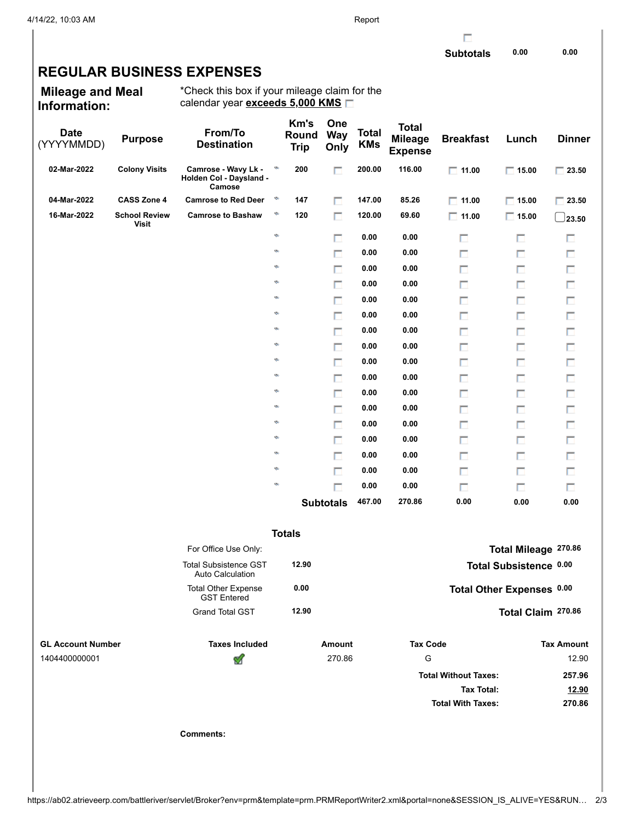## **REGULAR BUSINESS EXPENSES**

**Mileage and Meal Information:**

\*Check this box if your mileage claim for the calendar year **exceeds 5,000 KMS**

| <b>Date</b><br>(YYYYMMDD) | <b>Purpose</b>                | From/To<br><b>Destination</b>                            |               | Km's<br>Round<br><b>Trip</b> | One<br><b>Way</b><br>Only | Total<br><b>KMs</b> | <b>Total</b><br><b>Mileage</b><br><b>Expense</b> | <b>Breakfast</b>                              | Lunch                  | <b>Dinner</b>     |
|---------------------------|-------------------------------|----------------------------------------------------------|---------------|------------------------------|---------------------------|---------------------|--------------------------------------------------|-----------------------------------------------|------------------------|-------------------|
| 02-Mar-2022               | <b>Colony Visits</b>          | Camrose - Wavy Lk -<br>Holden Col - Daysland -<br>Camose | ø             | 200                          | П                         | 200.00              | 116.00                                           | $\Box$ 11.00                                  | $\Box$ 15.00           | $\Box$ 23.50      |
| 04-Mar-2022               | <b>CASS Zone 4</b>            | <b>Camrose to Red Deer</b>                               | ø             | 147                          | п                         | 147.00              | 85.26                                            | $\Box$ 11.00                                  | $\Box$ 15.00           | $\Box$ 23.50      |
| 16-Mar-2022               | <b>School Review</b><br>Visit | <b>Camrose to Bashaw</b>                                 | ø             | 120                          | П                         | 120.00              | 69.60                                            | $\Box$ 11.00                                  | $\Box$ 15.00           | $\_$ 23.50        |
|                           |                               |                                                          | $\mathcal{O}$ |                              | п                         | 0.00                | 0.00                                             | П                                             | п                      | п                 |
|                           |                               |                                                          | Ø.            |                              | п                         | 0.00                | 0.00                                             | П                                             | п                      | П                 |
|                           |                               |                                                          | Ø.            |                              | П                         | 0.00                | 0.00                                             | П                                             | П                      | П                 |
|                           |                               |                                                          | ø             |                              | п                         | 0.00                | 0.00                                             | П                                             | П                      | п                 |
|                           |                               |                                                          | Ø.            |                              | п                         | 0.00                | 0.00                                             | П                                             | П                      | П                 |
|                           |                               |                                                          | ø             |                              | п                         | 0.00                | 0.00                                             | П                                             | П                      | Π                 |
|                           |                               |                                                          | Ø.            |                              | П                         | 0.00                | 0.00                                             | П                                             | П                      | П                 |
|                           |                               |                                                          | ø             |                              | п                         | 0.00                | 0.00                                             | П                                             | П                      | п                 |
|                           |                               |                                                          | Ø.            |                              | п                         | 0.00                | 0.00                                             | П                                             | п                      | П                 |
|                           |                               |                                                          | ø             |                              | п                         | 0.00                | 0.00                                             | π                                             | П                      | Π                 |
|                           |                               |                                                          | Ø.            |                              | П                         | 0.00                | 0.00                                             | П                                             | П                      | П                 |
|                           |                               |                                                          | ø             |                              | п                         | 0.00                | 0.00                                             | П                                             | П                      | п                 |
|                           |                               |                                                          | Ø.            |                              | п                         | 0.00                | 0.00                                             | П                                             | п                      | П                 |
|                           |                               |                                                          | ø             |                              | п                         | 0.00                | 0.00                                             | π                                             | П                      | Π                 |
|                           |                               |                                                          | Ø.            |                              | П                         | 0.00                | 0.00                                             | П                                             | п                      | П                 |
|                           |                               |                                                          | ø             |                              | п                         | 0.00                | 0.00                                             | П                                             | п                      | П                 |
|                           |                               |                                                          | Ø.            |                              | П                         | 0.00                | 0.00                                             | П                                             | п                      | $\Box$            |
|                           |                               |                                                          |               |                              | <b>Subtotals</b>          | 467.00              | 270.86                                           | 0.00                                          | 0.00                   | 0.00              |
|                           |                               |                                                          |               | <b>Totals</b>                |                           |                     |                                                  |                                               |                        |                   |
|                           |                               | For Office Use Only:                                     |               |                              |                           |                     |                                                  |                                               | Total Mileage 270.86   |                   |
|                           |                               | <b>Total Subsistence GST</b><br><b>Auto Calculation</b>  |               | 12.90                        |                           |                     |                                                  |                                               | Total Subsistence 0.00 |                   |
|                           |                               | <b>Total Other Expense</b><br><b>GST Entered</b>         |               | 0.00                         |                           |                     |                                                  | Total Other Expenses 0.00                     |                        |                   |
|                           |                               | <b>Grand Total GST</b>                                   |               | 12.90                        |                           |                     |                                                  |                                               | Total Claim 270.86     |                   |
| <b>GL Account Number</b>  |                               | <b>Taxes Included</b>                                    |               |                              | <b>Amount</b>             |                     | <b>Tax Code</b>                                  |                                               |                        | <b>Tax Amount</b> |
| 1404400000001             |                               | ख़                                                       |               |                              | 270.86                    |                     | G                                                |                                               |                        | 12.90             |
|                           |                               |                                                          |               |                              |                           |                     |                                                  | <b>Total Without Taxes:</b>                   |                        | 257.96            |
|                           |                               |                                                          |               |                              |                           |                     |                                                  | <b>Tax Total:</b><br><b>Total With Taxes:</b> |                        | 12.90             |
|                           |                               |                                                          |               |                              |                           |                     |                                                  |                                               |                        | 270.86            |
|                           |                               | <b>Comments:</b>                                         |               |                              |                           |                     |                                                  |                                               |                        |                   |
|                           |                               |                                                          |               |                              |                           |                     |                                                  |                                               |                        |                   |